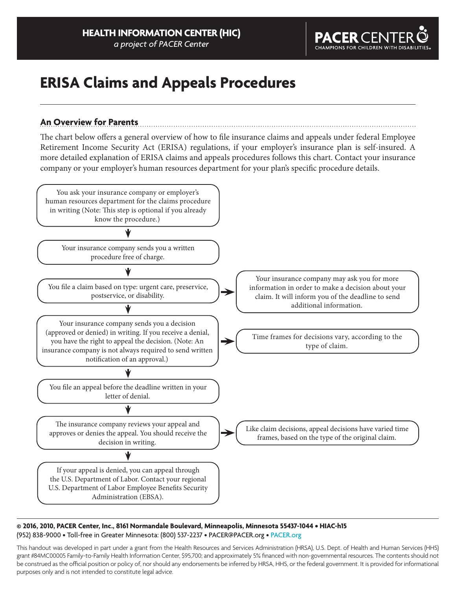

# **ERISA Claims and Appeals Procedures**

## **An Overview for Parents**

The chart below offers a general overview of how to file insurance claims and appeals under federal Employee Retirement Income Security Act (ERISA) regulations, if your employer's insurance plan is self-insured. A more detailed explanation of ERISA claims and appeals procedures follows this chart. Contact your insurance company or your employer's human resources department for your plan's specific procedure details.



#### **© 2016, 2010, PACER Center, Inc., 8161 Normandale Boulevard, Minneapolis, Minnesota 55437-1044 • HIAC-h15** (952) 838-9000 • Toll-free in Greater Minnesota: (800) 537-2237 • PACER@PACER.org • [PACER.org](http://www.pacer.org)

This handout was developed in part under a grant from the Health Resources and Services Administration (HRSA), U.S. Dept. of Health and Human Services (HHS) grant #84MC00005 Family-to-Family Health Information Center, \$95,700; and approximately 5% financed with non-governmental resources. The contents should not be construed as the official position or policy of, nor should any endorsements be inferred by HRSA, HHS, or the federal government. It is provided for informational purposes only and is not intended to constitute legal advice.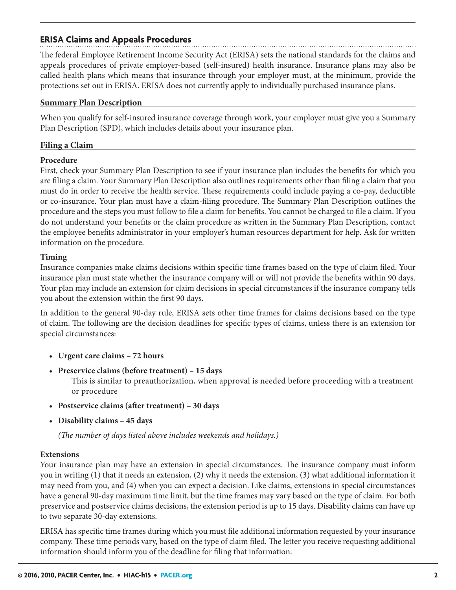## **ERISA Claims and Appeals Procedures**

The federal Employee Retirement Income Security Act (ERISA) sets the national standards for the claims and appeals procedures of private employer-based (self-insured) health insurance. Insurance plans may also be called health plans which means that insurance through your employer must, at the minimum, provide the protections set out in ERISA. ERISA does not currently apply to individually purchased insurance plans.

#### **Summary Plan Description**

When you qualify for self-insured insurance coverage through work, your employer must give you a Summary Plan Description (SPD), which includes details about your insurance plan.

#### **Filing a Claim**

#### **Procedure**

First, check your Summary Plan Description to see if your insurance plan includes the benefits for which you are filing a claim. Your Summary Plan Description also outlines requirements other than filing a claim that you must do in order to receive the health service. These requirements could include paying a co-pay, deductible or co-insurance. Your plan must have a claim-filing procedure. The Summary Plan Description outlines the procedure and the steps you must follow to file a claim for benefits. You cannot be charged to file a claim. If you do not understand your benefits or the claim procedure as written in the Summary Plan Description, contact the employee benefits administrator in your employer's human resources department for help. Ask for written information on the procedure.

#### **Timing**

Insurance companies make claims decisions within specific time frames based on the type of claim filed. Your insurance plan must state whether the insurance company will or will not provide the benefits within 90 days. Your plan may include an extension for claim decisions in special circumstances if the insurance company tells you about the extension within the first 90 days.

In addition to the general 90-day rule, ERISA sets other time frames for claims decisions based on the type of claim. The following are the decision deadlines for specific types of claims, unless there is an extension for special circumstances:

- **Urgent care claims 72 hours**
- **Preservice claims (before treatment) 15 days**

 This is similar to preauthorization, when approval is needed before proceeding with a treatment or procedure

- **Postservice claims (after treatment) 30 days**
- **Disability claims 45 days**

*(The number of days listed above includes weekends and holidays.)*

#### **Extensions**

Your insurance plan may have an extension in special circumstances. The insurance company must inform you in writing (1) that it needs an extension, (2) why it needs the extension, (3) what additional information it may need from you, and (4) when you can expect a decision. Like claims, extensions in special circumstances have a general 90-day maximum time limit, but the time frames may vary based on the type of claim. For both preservice and postservice claims decisions, the extension period is up to 15 days. Disability claims can have up to two separate 30-day extensions.

ERISA has specific time frames during which you must file additional information requested by your insurance company. These time periods vary, based on the type of claim filed. The letter you receive requesting additional information should inform you of the deadline for filing that information.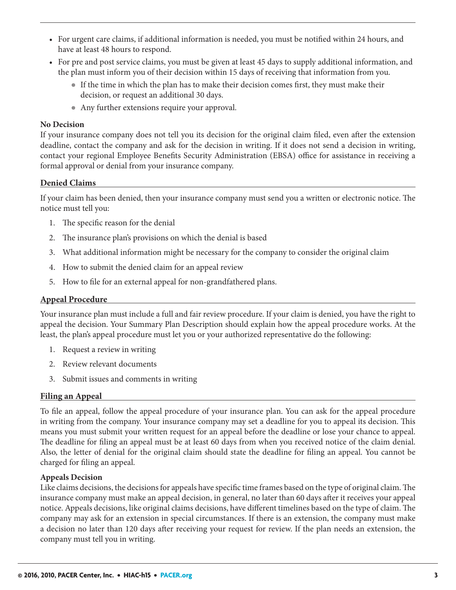- For urgent care claims, if additional information is needed, you must be notified within 24 hours, and have at least 48 hours to respond.
- For pre and post service claims, you must be given at least 45 days to supply additional information, and the plan must inform you of their decision within 15 days of receiving that information from you.
	- ◉ If the time in which the plan has to make their decision comes first, they must make their decision, or request an additional 30 days.
	- ◉ Any further extensions require your approval.

#### **No Decision**

If your insurance company does not tell you its decision for the original claim filed, even after the extension deadline, contact the company and ask for the decision in writing. If it does not send a decision in writing, contact your regional Employee Benefits Security Administration (EBSA) office for assistance in receiving a formal approval or denial from your insurance company.

### **Denied Claims**

If your claim has been denied, then your insurance company must send you a written or electronic notice. The notice must tell you:

- 1. The specific reason for the denial
- 2. The insurance plan's provisions on which the denial is based
- 3. What additional information might be necessary for the company to consider the original claim
- 4. How to submit the denied claim for an appeal review
- 5. How to file for an external appeal for non-grandfathered plans.

#### **Appeal Procedure**

Your insurance plan must include a full and fair review procedure. If your claim is denied, you have the right to appeal the decision. Your Summary Plan Description should explain how the appeal procedure works. At the least, the plan's appeal procedure must let you or your authorized representative do the following:

- 1. Request a review in writing
- 2. Review relevant documents
- 3. Submit issues and comments in writing

### **Filing an Appeal**

To file an appeal, follow the appeal procedure of your insurance plan. You can ask for the appeal procedure in writing from the company. Your insurance company may set a deadline for you to appeal its decision. This means you must submit your written request for an appeal before the deadline or lose your chance to appeal. The deadline for filing an appeal must be at least 60 days from when you received notice of the claim denial. Also, the letter of denial for the original claim should state the deadline for filing an appeal. You cannot be charged for filing an appeal.

#### **Appeals Decision**

Like claims decisions, the decisions for appeals have specific time frames based on the type of original claim. The insurance company must make an appeal decision, in general, no later than 60 days after it receives your appeal notice. Appeals decisions, like original claims decisions, have different timelines based on the type of claim. The company may ask for an extension in special circumstances. If there is an extension, the company must make a decision no later than 120 days after receiving your request for review. If the plan needs an extension, the company must tell you in writing.